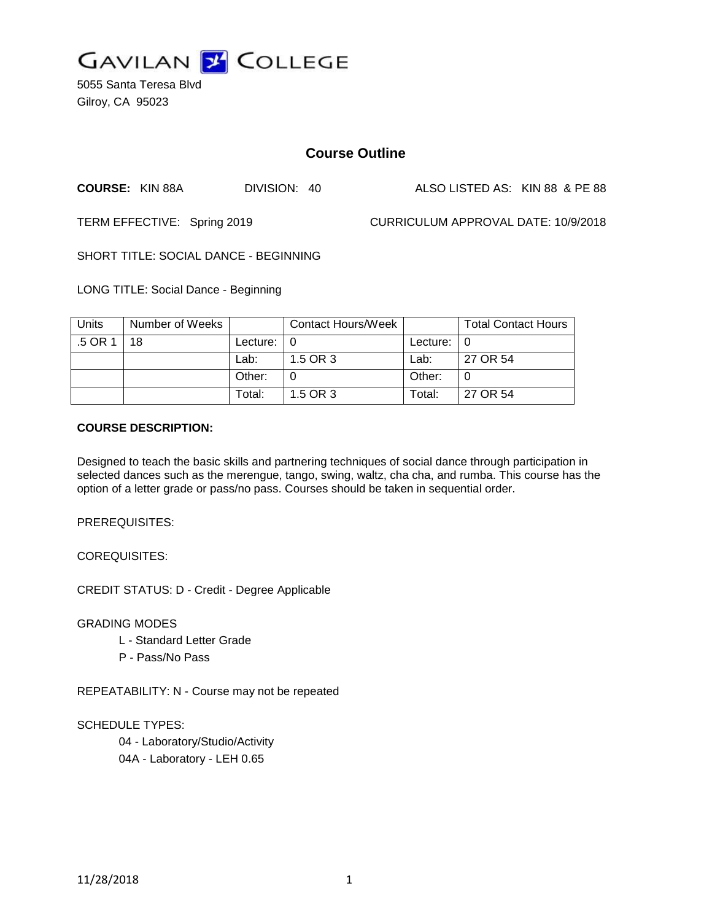

5055 Santa Teresa Blvd Gilroy, CA 95023

# **Course Outline**

**COURSE:** KIN 88A DIVISION: 40 ALSO LISTED AS: KIN 88 & PE 88

TERM EFFECTIVE: Spring 2019 CURRICULUM APPROVAL DATE: 10/9/2018

SHORT TITLE: SOCIAL DANCE - BEGINNING

LONG TITLE: Social Dance - Beginning

| Units   | Number of Weeks |               | Contact Hours/Week |                            | <b>Total Contact Hours</b> |
|---------|-----------------|---------------|--------------------|----------------------------|----------------------------|
| .5 OR 1 | 18              | Lecture: $ 0$ |                    | Lecture: $\vert 0 \rangle$ |                            |
|         |                 | Lab:          | 1.5 OR 3           | Lab:                       | 27 OR 54                   |
|         |                 | Other:        |                    | Other:                     |                            |
|         |                 | Total:        | 1.5 OR 3           | Total:                     | 27 OR 54                   |

#### **COURSE DESCRIPTION:**

Designed to teach the basic skills and partnering techniques of social dance through participation in selected dances such as the merengue, tango, swing, waltz, cha cha, and rumba. This course has the option of a letter grade or pass/no pass. Courses should be taken in sequential order.

PREREQUISITES:

COREQUISITES:

CREDIT STATUS: D - Credit - Degree Applicable

GRADING MODES

- L Standard Letter Grade
- P Pass/No Pass

REPEATABILITY: N - Course may not be repeated

SCHEDULE TYPES:

04 - Laboratory/Studio/Activity 04A - Laboratory - LEH 0.65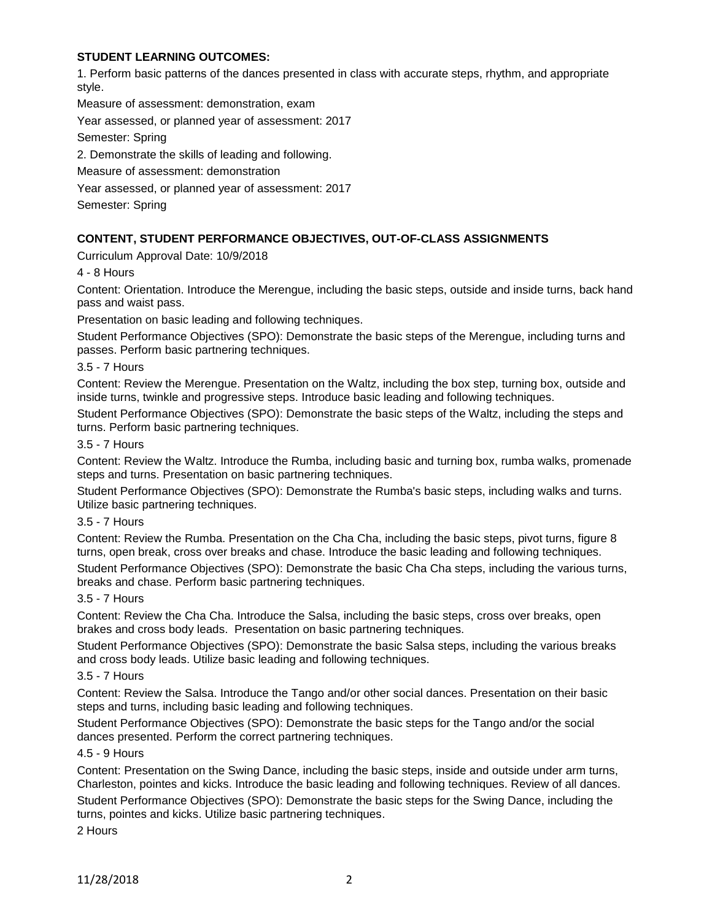## **STUDENT LEARNING OUTCOMES:**

1. Perform basic patterns of the dances presented in class with accurate steps, rhythm, and appropriate style.

Measure of assessment: demonstration, exam

Year assessed, or planned year of assessment: 2017

Semester: Spring

2. Demonstrate the skills of leading and following.

Measure of assessment: demonstration

Year assessed, or planned year of assessment: 2017

Semester: Spring

## **CONTENT, STUDENT PERFORMANCE OBJECTIVES, OUT-OF-CLASS ASSIGNMENTS**

Curriculum Approval Date: 10/9/2018

4 - 8 Hours

Content: Orientation. Introduce the Merengue, including the basic steps, outside and inside turns, back hand pass and waist pass.

Presentation on basic leading and following techniques.

Student Performance Objectives (SPO): Demonstrate the basic steps of the Merengue, including turns and passes. Perform basic partnering techniques.

3.5 - 7 Hours

Content: Review the Merengue. Presentation on the Waltz, including the box step, turning box, outside and inside turns, twinkle and progressive steps. Introduce basic leading and following techniques.

Student Performance Objectives (SPO): Demonstrate the basic steps of the Waltz, including the steps and turns. Perform basic partnering techniques.

#### 3.5 - 7 Hours

Content: Review the Waltz. Introduce the Rumba, including basic and turning box, rumba walks, promenade steps and turns. Presentation on basic partnering techniques.

Student Performance Objectives (SPO): Demonstrate the Rumba's basic steps, including walks and turns. Utilize basic partnering techniques.

## 3.5 - 7 Hours

Content: Review the Rumba. Presentation on the Cha Cha, including the basic steps, pivot turns, figure 8 turns, open break, cross over breaks and chase. Introduce the basic leading and following techniques.

Student Performance Objectives (SPO): Demonstrate the basic Cha Cha steps, including the various turns, breaks and chase. Perform basic partnering techniques.

#### 3.5 - 7 Hours

Content: Review the Cha Cha. Introduce the Salsa, including the basic steps, cross over breaks, open brakes and cross body leads. Presentation on basic partnering techniques.

Student Performance Objectives (SPO): Demonstrate the basic Salsa steps, including the various breaks and cross body leads. Utilize basic leading and following techniques.

## 3.5 - 7 Hours

Content: Review the Salsa. Introduce the Tango and/or other social dances. Presentation on their basic steps and turns, including basic leading and following techniques.

Student Performance Objectives (SPO): Demonstrate the basic steps for the Tango and/or the social dances presented. Perform the correct partnering techniques.

#### 4.5 - 9 Hours

Content: Presentation on the Swing Dance, including the basic steps, inside and outside under arm turns, Charleston, pointes and kicks. Introduce the basic leading and following techniques. Review of all dances.

Student Performance Objectives (SPO): Demonstrate the basic steps for the Swing Dance, including the turns, pointes and kicks. Utilize basic partnering techniques.

2 Hours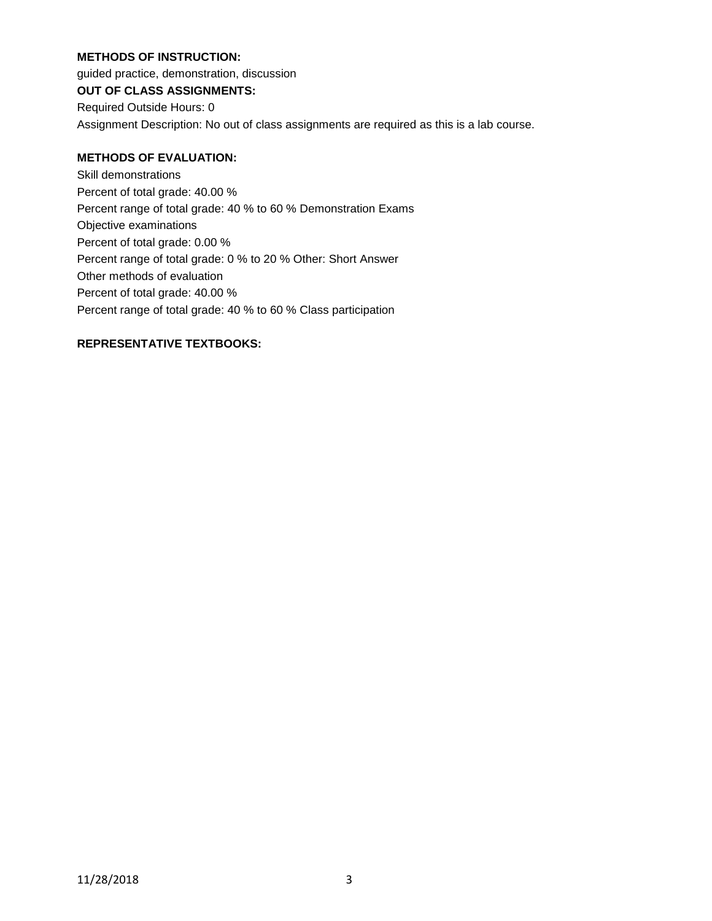## **METHODS OF INSTRUCTION:**

guided practice, demonstration, discussion

# **OUT OF CLASS ASSIGNMENTS:**

Required Outside Hours: 0 Assignment Description: No out of class assignments are required as this is a lab course.

# **METHODS OF EVALUATION:**

Skill demonstrations Percent of total grade: 40.00 % Percent range of total grade: 40 % to 60 % Demonstration Exams Objective examinations Percent of total grade: 0.00 % Percent range of total grade: 0 % to 20 % Other: Short Answer Other methods of evaluation Percent of total grade: 40.00 % Percent range of total grade: 40 % to 60 % Class participation

# **REPRESENTATIVE TEXTBOOKS:**